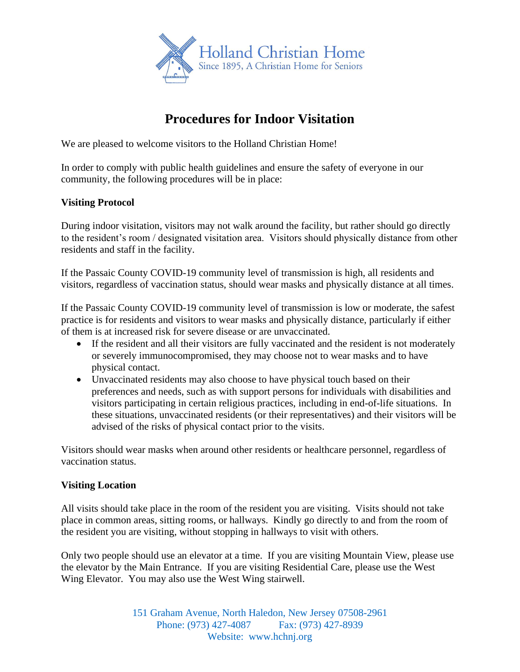

# **Procedures for Indoor Visitation**

We are pleased to welcome visitors to the Holland Christian Home!

In order to comply with public health guidelines and ensure the safety of everyone in our community, the following procedures will be in place:

## **Visiting Protocol**

During indoor visitation, visitors may not walk around the facility, but rather should go directly to the resident's room / designated visitation area. Visitors should physically distance from other residents and staff in the facility.

If the Passaic County COVID-19 community level of transmission is high, all residents and visitors, regardless of vaccination status, should wear masks and physically distance at all times.

If the Passaic County COVID-19 community level of transmission is low or moderate, the safest practice is for residents and visitors to wear masks and physically distance, particularly if either of them is at increased risk for severe disease or are unvaccinated.

- If the resident and all their visitors are fully vaccinated and the resident is not moderately or severely immunocompromised, they may choose not to wear masks and to have physical contact.
- Unvaccinated residents may also choose to have physical touch based on their preferences and needs, such as with support persons for individuals with disabilities and visitors participating in certain religious practices, including in end-of-life situations. In these situations, unvaccinated residents (or their representatives) and their visitors will be advised of the risks of physical contact prior to the visits.

Visitors should wear masks when around other residents or healthcare personnel, regardless of vaccination status.

## **Visiting Location**

All visits should take place in the room of the resident you are visiting. Visits should not take place in common areas, sitting rooms, or hallways. Kindly go directly to and from the room of the resident you are visiting, without stopping in hallways to visit with others.

Only two people should use an elevator at a time. If you are visiting Mountain View, please use the elevator by the Main Entrance. If you are visiting Residential Care, please use the West Wing Elevator. You may also use the West Wing stairwell.

> 151 Graham Avenue, North Haledon, New Jersey 07508-2961 Phone: (973) 427-4087 Fax: (973) 427-8939 Website: www.hchnj.org